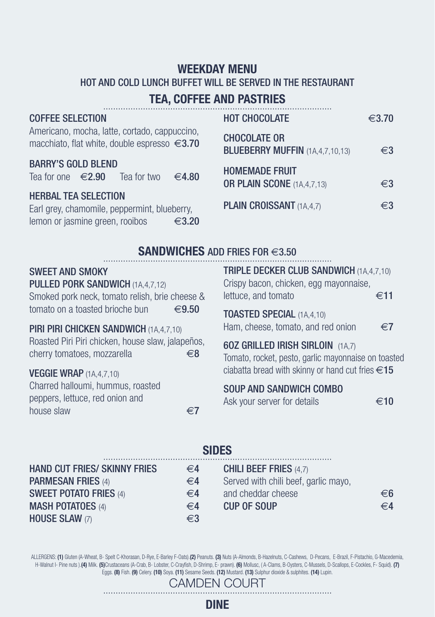# **TEA, COFFEE AND PASTRIES WEEKDAY MENU**  HOT AND COLD LUNCH BUFFET WILL BE SERVED IN THE RESTAURANT

#### COFFEE SELECTION Americano, mocha, latte, cortado, cappuccino, macchiato, flat white, double espresso  $\in$ 3.70 BARRY'S GOLD BLEND Tea for one  $\in 2.90$  Tea for two  $\in 4.80$ HERBAL TEA SELECTION Earl grey, chamomile, peppermint, blueberry, HOT CHOCOLATE  $\epsilon$ 3.70 CHOCOLATE OR BLUEBERRY MUFFIN  $(1A.4.7.10.13)$   $\in$ 3 HOMEMADE FRUIT OR PLAIN SCONE  $(1A.4.7.13)$   $\qquad \qquad \in \mathbf{3}$ **PLAIN CROISSANT** (1A,4,7)  $\epsilon$ 3

# SANDWICHES ADD FRIES FOR €3.50

# SWEET AND SMOKY

PULLED PORK SANDWICH (1A, 4, 7, 12) Smoked pork neck, tomato relish, brie cheese & tomato on a toasted brioche bun  $\epsilon$ 9.50

lemon or jasmine green, rooibos  $\epsilon$ 3.20

### PIRI PIRI CHICKEN SANDWICH (1A, 4, 7, 10)

Roasted Piri Piri chicken, house slaw, jalapeños, cherry tomatoes, mozzarella  $\epsilon$ 8

#### VEGGIE WRAP (1A,4,7,10)

Charred halloumi, hummus, roasted peppers, lettuce, red onion and house slaw  $\epsilon$ 7

| <b>TRIPLE DECKER CLUB SANDWICH (1A, 4, 7, 10)</b> |               |
|---------------------------------------------------|---------------|
| Crispy bacon, chicken, egg mayonnaise,            |               |
| lettuce, and tomato                               | $\epsilon$ 11 |

# TOASTED SPECIAL (1A,4,10)

Ham, cheese, tomato, and red onion  $\epsilon$ 7

6OZ GRILLED IRISH SIRLOIN (1A,7) Tomato, rocket, pesto, garlic mayonnaise on toasted ciabatta bread with skinny or hand cut fries  $\in 15$ 

#### SOUP AND SANDWICH COMBO

Ask your server for details  $\epsilon$ 10

| <b>SIDES</b>                        |              |                                      |              |
|-------------------------------------|--------------|--------------------------------------|--------------|
| <b>HAND CUT FRIES/ SKINNY FRIES</b> | $\epsilon$ 4 | <b>CHILI BEEF FRIES (4,7)</b>        |              |
| <b>PARMESAN FRIES (4)</b>           | $\in$ 4      | Served with chili beef, garlic mayo, |              |
| <b>SWEET POTATO FRIES (4)</b>       | $\epsilon$ 4 | and cheddar cheese                   | $\epsilon$ 6 |
| <b>MASH POTATOES (4)</b>            | $\epsilon$ 4 | <b>CUP OF SOUP</b>                   | $\epsilon$ 4 |
| <b>HOUSE SLAW (7)</b>               | €3           |                                      |              |

ALLERGENS: **(1)** Gluten (A-Wheat, B- Spelt C-Khorasan, D-Rye, E-Barley F-Oats).**(2)** Peanuts. **(3)** Nuts (A-Almonds, B-Hazelnuts, C-Cashews, D-Pecans, E-Brazil, F-Pistachio, G-Macedemia, H-Walnut I- Pine nuts ).**(4)** Milk. **(5)**Crustaceans (A-Crab, B- Lobster, C-Crayfish, D-Shrimp, E- prawn). **(6)** Mollusc, ( A-Clams, B-Oysters, C-Mussels, D-Scallops, E-Cockles, F- Squid). **(7)** Eggs. **(8)** Fish. **(9)** Celery. **(10)** Soya. **(11)** Sesame Seeds. **(12)** Mustard. **(13)** Sulphur dioxide & sulphites. **(14)** Lupin.

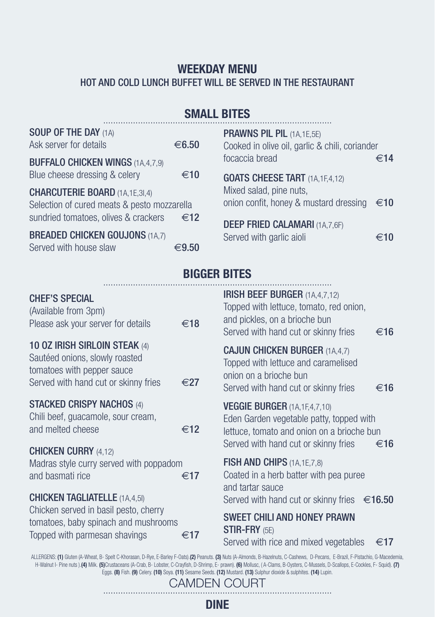# **WEEKDAY MENU**  HOT AND COLD LUNCH BUFFET WILL BE SERVED IN THE RESTAURANT

# **SMALL BITES**

| SOUP OF THE DAY (1A)<br>Ask server for details                                          | €6.50    | <b>PRAWNS PIL PIL (1A,1E,5E)</b><br>Cooked in olive oil, garlic & chili, coriander |     |
|-----------------------------------------------------------------------------------------|----------|------------------------------------------------------------------------------------|-----|
| <b>BUFFALO CHICKEN WINGS (1A,4,7,9)</b>                                                 |          | focaccia bread                                                                     | €14 |
| Blue cheese dressing & celery                                                           | €10      | <b>GOATS CHEESE TART</b> (1A, 1F, 4, 12)                                           |     |
| <b>CHARCUTERIE BOARD (1A, 1E, 3I, 4)</b><br>Selection of cured meats & pesto mozzarella |          | Mixed salad, pine nuts,<br>onion confit, honey & mustard dressing                  | €10 |
| sundried tomatoes, olives & crackers                                                    | €12      | <b>DEEP FRIED CALAMARI (1A,7,6F)</b>                                               |     |
| <b>BREADED CHICKEN GOUJONS (1A,7)</b><br>Served with house slaw                         | € $9.50$ | Served with garlic aioli                                                           | ∈10 |

# **BIGGER BITES**

| <b>CHEF'S SPECIAL</b><br>(Available from 3pm)<br>Please ask your server for details                                                   | €18           | IRISH BEEF BURGER (1A, 4, 7, 12)<br>Topped with lettuce, tomato, red onion,<br>and pickles, on a brioche bun<br>Served with hand cut or skinny fries<br>€16                      |
|---------------------------------------------------------------------------------------------------------------------------------------|---------------|----------------------------------------------------------------------------------------------------------------------------------------------------------------------------------|
| 10 OZ IRISH SIRLOIN STEAK (4)<br>Sautéed onions, slowly roasted<br>tomatoes with pepper sauce<br>Served with hand cut or skinny fries | $\epsilon$ 27 | <b>CAJUN CHICKEN BURGER (1A,4,7)</b><br>Topped with lettuce and caramelised<br>onion on a brioche bun<br>Served with hand cut or skinny fries<br>$\epsilon$ 16                   |
| <b>STACKED CRISPY NACHOS (4)</b><br>Chili beef, guacamole, sour cream,<br>and melted cheese                                           | €12           | <b>VEGGIE BURGER (1A, 1F, 4, 7, 10)</b><br>Eden Garden vegetable patty, topped with<br>lettuce, tomato and onion on a brioche bun<br>Served with hand cut or skinny fries<br>€16 |
| <b>CHICKEN CURRY (4,12)</b><br>Madras style curry served with poppadom<br>and basmati rice<br><b>CHICKEN TAGLIATELLE (1A,4,5I)</b>    | €17           | <b>FISH AND CHIPS (1A, 1E, 7, 8)</b><br>Coated in a herb batter with pea puree<br>and tartar sauce<br>Served with hand cut or skinny fries<br>€16.50                             |
| Chicken served in basil pesto, cherry<br>tomatoes, baby spinach and mushrooms<br>Topped with parmesan shavings                        | €17           | <b>SWEET CHILI AND HONEY PRAWN</b><br><b>STIR-FRY</b> (5E)<br>Served with rice and mixed vegetables<br>€17                                                                       |

CAMDEN COURT ALLERGENS: **(1)** Gluten (A-Wheat, B- Spelt C-Khorasan, D-Rye, E-Barley F-Oats)**.(2)** Peanuts. **(3)** Nuts (A-Almonds, B-Hazelhews, C-Cashews, D-Pecans, E-Brazil, F-Pistachio, G-Macedemia,<br>H-Walnut I- Pine nuts ).**(4)** Milk. Eggs. **(8)** Fish. **(9)** Celery. **(10)** Soya. **(11)** Sesame Seeds. **(12)** Mustard. **(13)** Sulphur dioxide & sulphites. **(14)** Lupin.

**DINE**